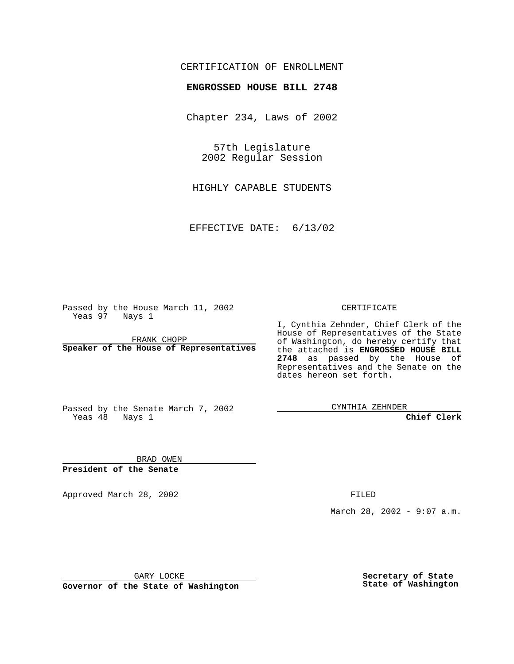## CERTIFICATION OF ENROLLMENT

## **ENGROSSED HOUSE BILL 2748**

Chapter 234, Laws of 2002

57th Legislature 2002 Regular Session

HIGHLY CAPABLE STUDENTS

EFFECTIVE DATE: 6/13/02

Passed by the House March 11, 2002 Yeas 97 Nays 1

FRANK CHOPP **Speaker of the House of Representatives** CERTIFICATE

I, Cynthia Zehnder, Chief Clerk of the House of Representatives of the State of Washington, do hereby certify that the attached is **ENGROSSED HOUSE BILL 2748** as passed by the House of Representatives and the Senate on the dates hereon set forth.

Passed by the Senate March 7, 2002 Yeas 48 Nays 1

CYNTHIA ZEHNDER

**Chief Clerk**

BRAD OWEN **President of the Senate**

Approved March 28, 2002 **FILED** 

March 28, 2002 - 9:07 a.m.

GARY LOCKE

**Governor of the State of Washington**

**Secretary of State State of Washington**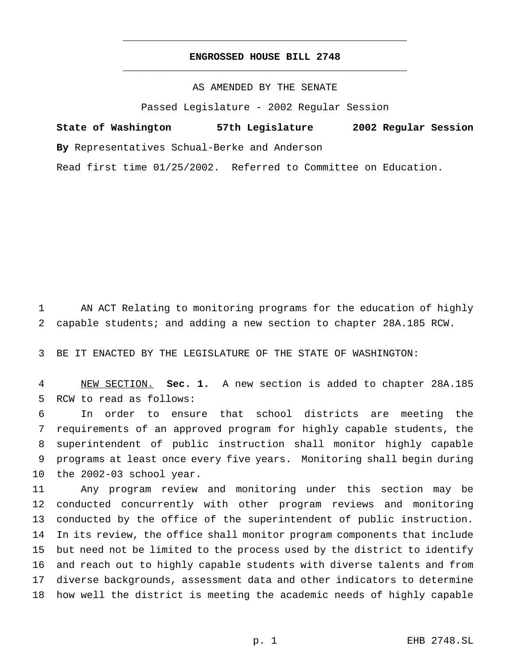## **ENGROSSED HOUSE BILL 2748** \_\_\_\_\_\_\_\_\_\_\_\_\_\_\_\_\_\_\_\_\_\_\_\_\_\_\_\_\_\_\_\_\_\_\_\_\_\_\_\_\_\_\_\_\_\_\_

\_\_\_\_\_\_\_\_\_\_\_\_\_\_\_\_\_\_\_\_\_\_\_\_\_\_\_\_\_\_\_\_\_\_\_\_\_\_\_\_\_\_\_\_\_\_\_

AS AMENDED BY THE SENATE

Passed Legislature - 2002 Regular Session

**State of Washington 57th Legislature 2002 Regular Session By** Representatives Schual-Berke and Anderson Read first time 01/25/2002. Referred to Committee on Education.

 AN ACT Relating to monitoring programs for the education of highly capable students; and adding a new section to chapter 28A.185 RCW.

BE IT ENACTED BY THE LEGISLATURE OF THE STATE OF WASHINGTON:

 NEW SECTION. **Sec. 1.** A new section is added to chapter 28A.185 RCW to read as follows:

 In order to ensure that school districts are meeting the requirements of an approved program for highly capable students, the superintendent of public instruction shall monitor highly capable programs at least once every five years. Monitoring shall begin during the 2002-03 school year.

 Any program review and monitoring under this section may be conducted concurrently with other program reviews and monitoring conducted by the office of the superintendent of public instruction. In its review, the office shall monitor program components that include but need not be limited to the process used by the district to identify and reach out to highly capable students with diverse talents and from diverse backgrounds, assessment data and other indicators to determine how well the district is meeting the academic needs of highly capable